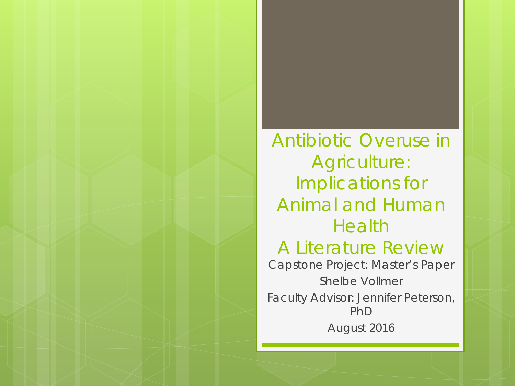Antibiotic Overuse in Agriculture: Implications for Animal and Human Health A Literature Review Capstone Project: Master's Paper Shelbe Vollmer Faculty Advisor: Jennifer Peterson, PhD August 2016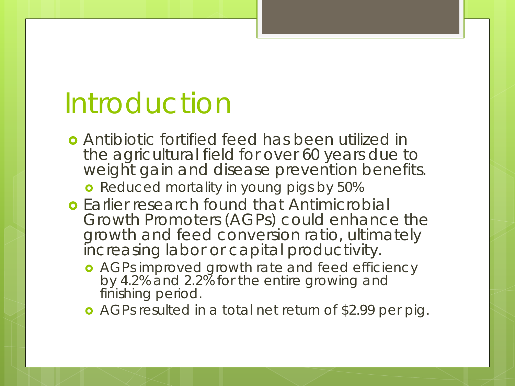## Introduction

 Antibiotic fortified feed has been utilized in the agricultural field for over 60 years due to weight gain and disease prevention benefits.

**o** Reduced mortality in young pigs by 50%

- **o** Earlier research found that Antimicrobial Growth Promoters (AGPs) could enhance the growth and feed conversion ratio, ultimately increasing labor or capital productivity.
	- **•** AGPs improved growth rate and feed efficiency by 4.2% and 2.2% for the entire growing and finishing period.
	- AGPs resulted in a total net return of \$2.99 per pig.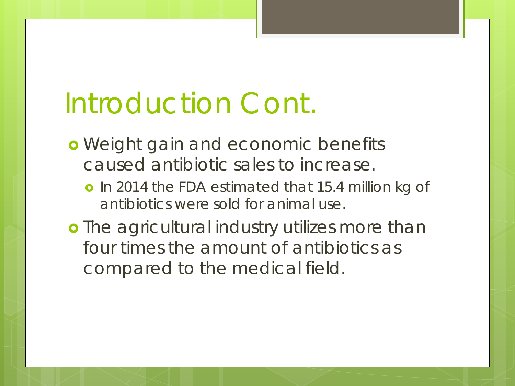# Introduction Cont.

- **o** Weight gain and economic benefits caused antibiotic sales to increase.
	- o In 2014 the FDA estimated that 15.4 million kg of antibiotics were sold for animal use.
- **o** The agricultural industry utilizes more than four times the amount of antibiotics as compared to the medical field.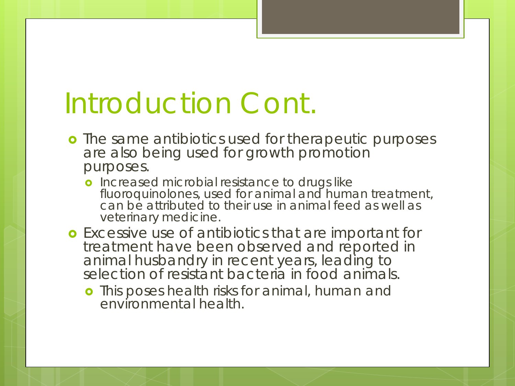## Introduction Cont.

- **o** The same antibiotics used for therapeutic purposes are also being used for growth promotion purposes.
	- **o** Increased microbial resistance to drugs like fluoroquinolones, used for animal and human treatment, can be attributed to their use in animal feed as well as veterinary medicine.
- **o** Excessive use of antibiotics that are important for treatment have been observed and reported in animal husbandry in recent years, leading to selection of resistant bacteria in food animals.
	- **o** This poses health risks for animal, human and environmental health.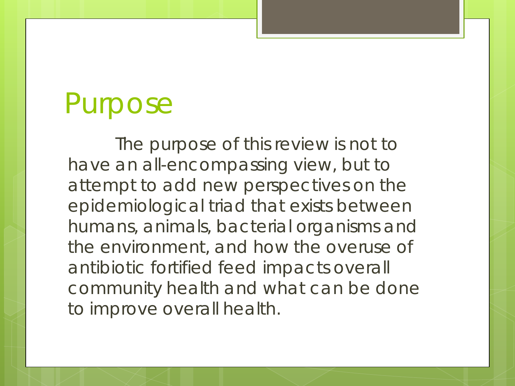## Purpose

The purpose of this review is not to have an all-encompassing view, but to attempt to add new perspectives on the epidemiological triad that exists between humans, animals, bacterial organisms and the environment, and how the overuse of antibiotic fortified feed impacts overall community health and what can be done to improve overall health.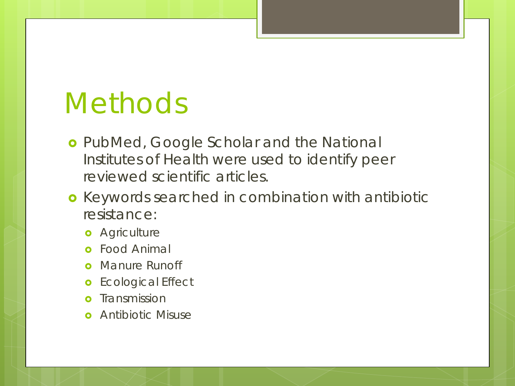# **Methods**

- **o** PubMed, Google Scholar and the National Institutes of Health were used to identify peer reviewed scientific articles.
- **o** Keywords searched in combination with antibiotic resistance:
	- **o** Agriculture
	- Food Animal
	- Manure Runoff
	- **o** Ecological Effect
	- Transmission
	- **o** Antibiotic Misuse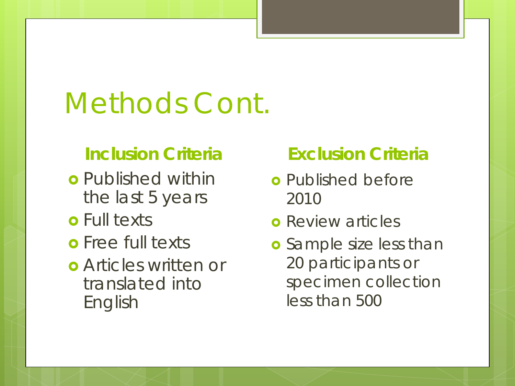# Methods Cont.

#### **Inclusion Criteria**

- **o** Published within the last 5 years
- **o** Full texts
- **o** Free full texts
- Articles written or translated into English

#### **Exclusion Criteria**

- **o** Published before 2010
- **o** Review articles
- **o** Sample size less than 20 participants or specimen collection less than 500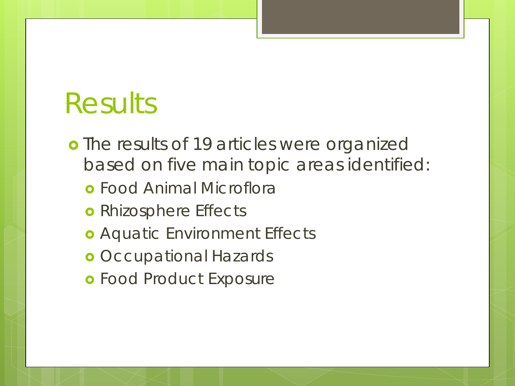## Results

**o** The results of 19 articles were organized based on five main topic areas identified:

- Food Animal Microflora
- **o** Rhizosphere Effects
- Aquatic Environment Effects
- **o** Occupational Hazards
- **o** Food Product Exposure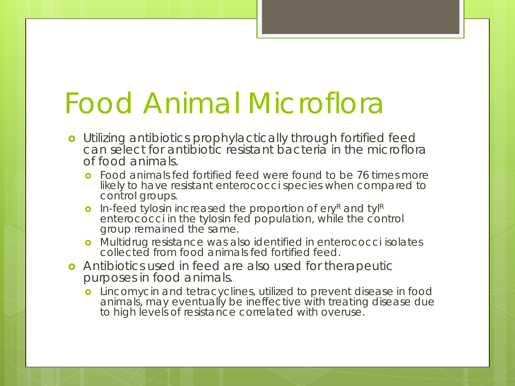# Food Animal Microflora

- **o** Utilizing antibiotics prophylactically through fortified feed can select for antibiotic resistant bacteria in the microflora of food animals.
	- **o** Food animals fed fortified feed were found to be 76 times more likely to have resistant enterococci species when compared to control groups.
	- **o** In-feed tylosin increased the proportion of ery<sup>R</sup> and tylR enterococci in the tylosin fed population, while the control group remained the same.
	- **o** Multidrug resistance was also identified in enterococci isolates collected from food animals fed fortified feed.
- **o** Antibiotics used in feed are also used for therapeutic purposes in food animals.
	- **o** Lincomycin and tetracyclines, utilized to prevent disease in food animals, may eventually be ineffective with treating disease due to high levels of resistance correlated with overuse.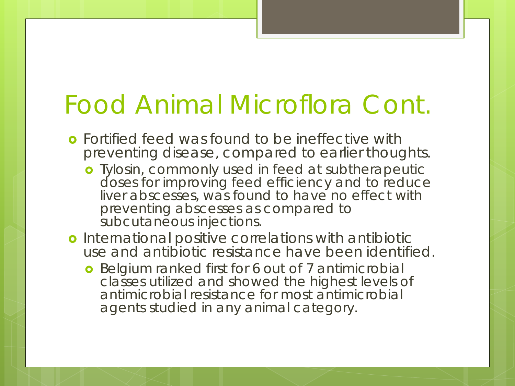#### Food Animal Microflora Cont.

- **o** Fortified feed was found to be ineffective with preventing disease, compared to earlier thoughts.
	- **o** Tylosin, commonly used in feed at subtherapeutic doses for improving feed efficiency and to reduce liver abscesses, was found to have no effect with preventing abscesses as compared to subcutaneous injections.
- o International positive correlations with antibiotic use and antibiotic resistance have been identified.
	- **o** Belgium ranked first for 6 out of 7 antimicrobial classes utilized and showed the highest levels of antimicrobial resistance for most antimicrobial agents studied in any animal category.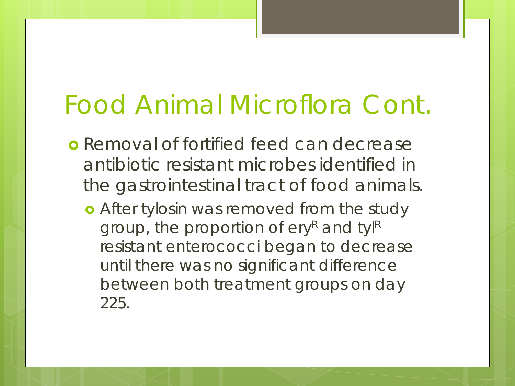## Food Animal Microflora Cont.

- **o** Removal of fortified feed can decrease antibiotic resistant microbes identified in the gastrointestinal tract of food animals.
	- **•** After tylosin was removed from the study group, the proportion of ery<sup>R</sup> and tylR resistant enterococci began to decrease until there was no significant difference between both treatment groups on day 225.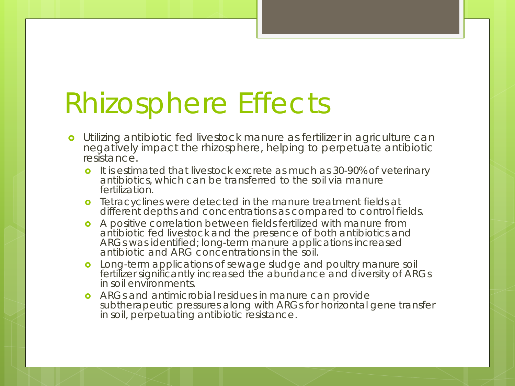## Rhizosphere Effects

- Utilizing antibiotic fed livestock manure as fertilizer in agriculture can negatively impact the rhizosphere, helping to perpetuate antibiotic resistance.
	- **o** It is estimated that livestock excrete as much as 30-90% of veterinary antibiotics, which can be transferred to the soil via manure fertilization.
	- **o** Tetracyclines were detected in the manure treatment fields at different depths and concentrations as compared to control fields.
	- A positive correlation between fields fertilized with manure from antibiotic fed livestock and the presence of both antibiotics and ARGs was identified; long-term manure applications increased antibiotic and ARG concentrations in the soil.
	- **o** Long-term applications of sewage sludge and poultry manure soil fertilizer significantly increased the abundance and diversity of ARGs in soil environments.
	- ARGs and antimicrobial residues in manure can provide subtherapeutic pressures along with ARGs for horizontal gene transfer in soil, perpetuating antibiotic resistance.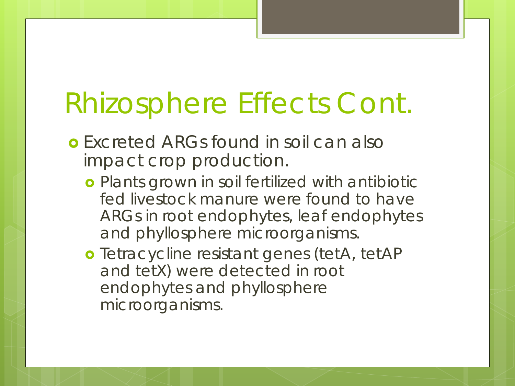# Rhizosphere Effects Cont.

- **o** Excreted ARGs found in soil can also impact crop production.
	- **o** Plants grown in soil fertilized with antibiotic fed livestock manure were found to have ARGs in root endophytes, leaf endophytes and phyllosphere microorganisms.
	- o Tetracycline resistant genes (tetA, tetAP and tetX) were detected in root endophytes and phyllosphere microorganisms.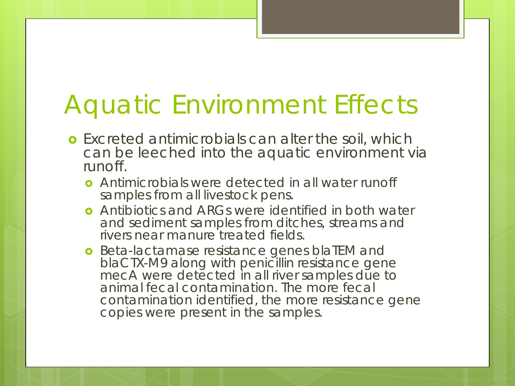#### Aquatic Environment Effects

- **o** Excreted antimicrobials can alter the soil, which can be leeched into the aquatic environment via runoff.
	- Antimicrobials were detected in all water runoff samples from all livestock pens.
	- **o** Antibiotics and ARGs were identified in both water and sediment samples from ditches, streams and rivers near manure treated fields.
	- **o** Beta-lactamase resistance genes blaTEM and blaCTX-M9 along with penicillin resistance gene mecA were detected in all river samples due to animal fecal contamination. The more fecal contamination identified, the more resistance gene copies were present in the samples.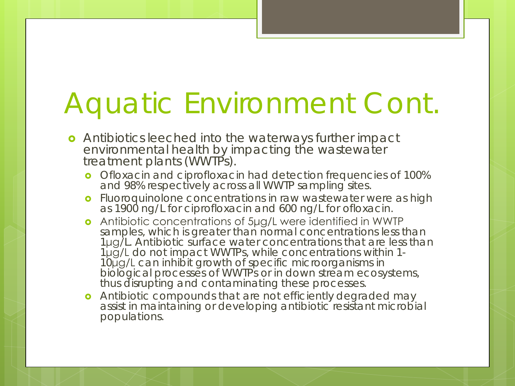# Aquatic Environment Cont.

- Antibiotics leeched into the waterways further impact environmental health by impacting the wastewater treatment plants (WWTPs).
	- **o** Ofloxacin and ciprofloxacin had detection frequencies of 100% and 98% respectively across all WWTP sampling sites.
	- **o** Fluoroquinolone concentrations in raw wastewater were as high as 1900 ng/L for ciprofloxacin and 600 ng/L for ofloxacin.
	- Antibiotic concentrations of 5μg/L were identified in WWTP samples, which is greater than normal concentrations less than 1μg/L. Antibiotic surface water concentrations that are less than<br>1μg/L do not impact WWTPs, while concentrations within 1-<sup>1</sup>μg/L do not impact WWTPs, while concentrations within 1- <sup>10</sup>μg/L can inhibit growth of specific microorganisms in biological processes of WWTPs or in down stream ecosystems, thus disrupting and contaminating these processes.
	- **o** Antibiotic compounds that are not efficiently degraded may assist in maintaining or developing antibiotic resistant microbial populations.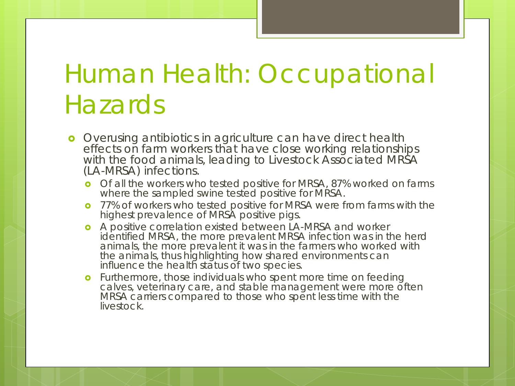## Human Health: Occupational **Hazards**

- **o** Overusing antibiotics in agriculture can have direct health effects on farm workers that have close working relationships with the food animals, leading to Livestock Associated MRSA (LA-MRSA) infections.
	- o Of all the workers who tested positive for MRSA, 87% worked on farms where the sampled swine tested positive for MRSA.
	- **o** 77% of workers who tested positive for MRSA were from farms with the highest prevalence of MRSA positive pigs.
	- A positive correlation existed between LA-MRSA and worker identified MRSA, the more prevalent MRSA infection was in the herd animals, the more prevalent it was in the farmers who worked with the animals, thus highlighting how shared environments can influence the health status of two species.
	- Furthermore, those individuals who spent more time on feeding calves, veterinary care, and stable management were more often MRSA carriers compared to those who spent less time with the livestock.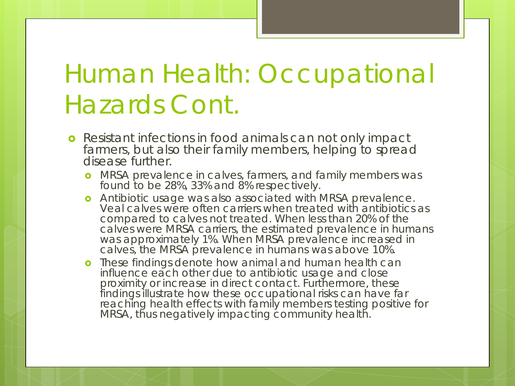### Human Health: Occupational Hazards Cont.

- **•** Resistant infections in food animals can not only impact farmers, but also their family members, helping to spread disease further.
	- **o** MRSA prevalence in calves, farmers, and family members was found to be 28%, 33% and 8% respectively.
	- **o** Antibiotic usage was also associated with MRSA prevalence. Veal calves were often carriers when treated with antibiotics as compared to calves not treated. When less than 20% of the calves were MRSA carriers, the estimated prevalence in humans was approximately 1%. When MRSA prevalence increased in calves, the MRSA prevalence in humans was above 10%.
	- **o** These findings denote how animal and human health can influence each other due to antibiotic usage and close proximity or increase in direct contact. Furthermore, these findings illustrate how these occupational risks can have far reaching health effects with family members testing positive for MRSA, thus negatively impacting community health.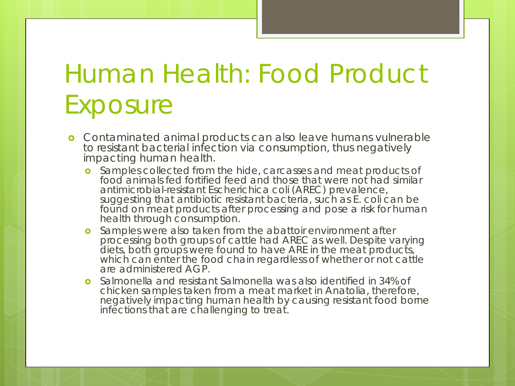## Human Health: Food Product **Exposure**

- **o** Contaminated animal products can also leave humans vulnerable to resistant bacterial infection via consumption, thus negatively impacting human health.
	- **o** Samples collected from the hide, carcasses and meat products of food animals fed fortified feed and those that were not had similar antimicrobial-resistant *Escherichica coli* (AREC) prevalence, suggesting that antibiotic resistant bacteria, such as *E. coli* can be found on meat products after processing and pose a risk for human health through consumption.
	- **o** Samples were also taken from the abattoir environment after processing both groups of cattle had AREC as well. Despite varying diets, both groups were found to have ARE in the meat products, which can enter the food chain regardless of whether or not cattle are administered AGP.
	- *Salmonella* and resistant *Salmonella* was also identified in 34% of chicken samples taken from a meat market in Anatolia, therefore, negatively impacting human health by causing resistant food borne infections that are challenging to treat.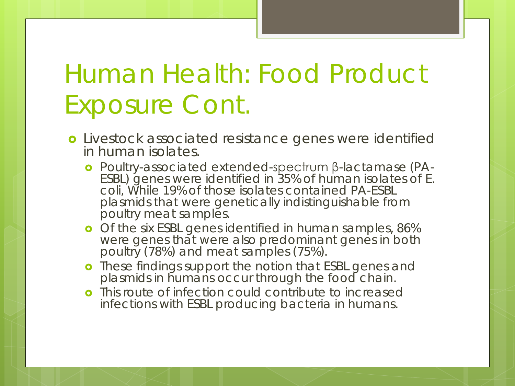## Human Health: Food Product Exposure Cont.

- Livestock associated resistance genes were identified in human isolates.
	- Poultry-associated extended-spectrum β-lactamase (PA- ESBL) genes were identified in 35% of human isolates of *E. coli,* While 19% of those isolates contained PA-ESBL plasmids that were genetically indistinguishable from poultry meat samples.
	- o Of the six ESBL genes identified in human samples, 86% were genes that were also predominant genes in both poultry (78%) and meat samples (75%).
	- **o** These findings support the notion that ESBL genes and plasmids in humans occur through the food chain.
	- **o** This route of infection could contribute to increased infections with ESBL producing bacteria in humans.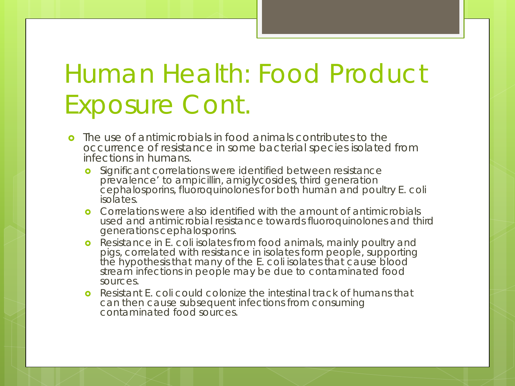## Human Health: Food Product Exposure Cont.

- The use of antimicrobials in food animals contributes to the occurrence of resistance in some bacterial species isolated from infections in humans.
	- **o** Significant correlations were identified between resistance prevalence' to ampicillin, amiglycosides, third generation cephalosporins, fluoroquinolones for both human and poultry *E. coli* isolates.
	- **o** Correlations were also identified with the amount of antimicrobials used and antimicrobial resistance towards fluoroquinolones and third generations cephalosporins.
	- Resistance in *E. coli* isolates from food animals, mainly poultry and pigs, correlated with resistance in isolates form people, supporting the hypothesis that many of the *E. coli* isolates that cause blood stream infections in people may be due to contaminated food sources.
	- Resistant *E. coli* could colonize the intestinal track of humans that can then cause subsequent infections from consuming contaminated food sources.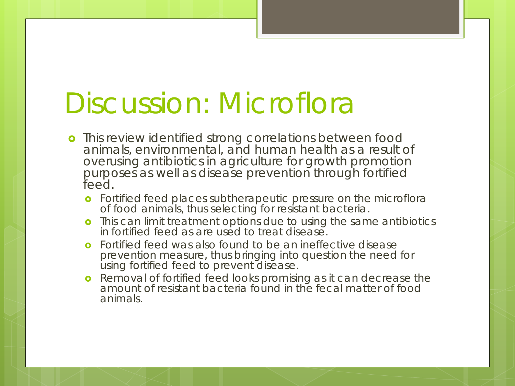## Discussion: Microflora

- **o** This review identified strong correlations between food animals, environmental, and human health as a result of overusing antibiotics in agriculture for growth promotion purposes as well as disease prevention through fortified feed.
	- **o** Fortified feed places subtherapeutic pressure on the microflora of food animals, thus selecting for resistant bacteria.
	- **o** This can limit treatment options due to using the same antibiotics in fortified feed as are used to treat disease.
	- **o** Fortified feed was also found to be an ineffective disease prevention measure, thus bringing into question the need for using fortified feed to prevent disease.
	- **o** Removal of fortified feed looks promising as it can decrease the amount of resistant bacteria found in the fecal matter of food animals.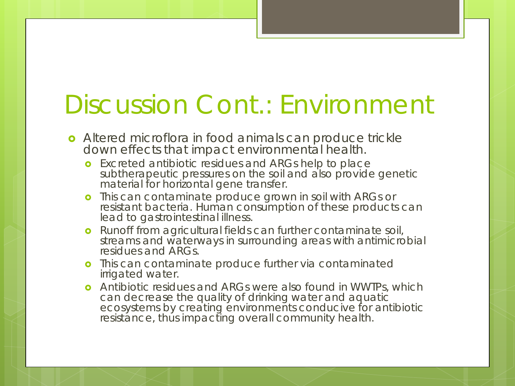#### Discussion Cont.: Environment

- **•** Altered microflora in food animals can produce trickle down effects that impact environmental health.
	- **o** Excreted antibiotic residues and ARGs help to place subtherapeutic pressures on the soil and also provide genetic material for horizontal gene transfer.
	- **o** This can contaminate produce grown in soil with ARGs or resistant bacteria. Human consumption of these products can lead to gastrointestinal illness.
	- **o** Runoff from agricultural fields can further contaminate soil, streams and waterways in surrounding areas with antimicrobial residues and ARGs.
	- **o** This can contaminate produce further via contaminated irrigated water.
	- **o** Antibiotic residues and ARGs were also found in WWTPs, which can decrease the quality of drinking water and aquatic ecosystems by creating environments conducive for antibiotic resistance, thus impacting overall community health.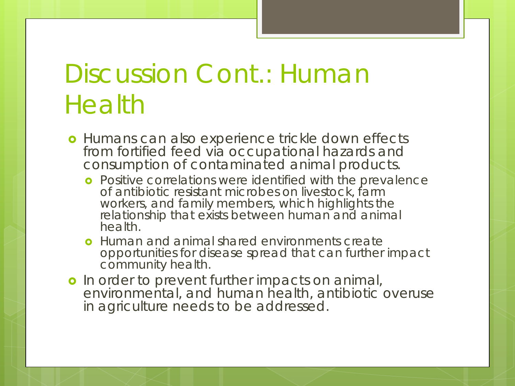#### Discussion Cont.: Human **Health**

- **o** Humans can also experience trickle down effects from fortified feed via occupational hazards and consumption of contaminated animal products.
	- **o** Positive correlations were identified with the prevalence of antibiotic resistant microbes on livestock, farm workers, and family members, which highlights the relationship that exists between human and animal health.
	- **o** Human and animal shared environments create opportunities for disease spread that can further impact community health.
- o In order to prevent further impacts on animal, environmental, and human health, antibiotic overuse in agriculture needs to be addressed.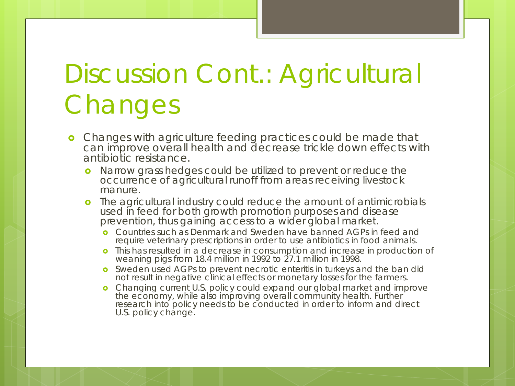## Discussion Cont.: Agricultural **Changes**

- **o** Changes with agriculture feeding practices could be made that can improve overall health and decrease trickle down effects with antibiotic resistance.
	- **o** Narrow grass hedges could be utilized to prevent or reduce the occurrence of agricultural runoff from areas receiving livestock manure.
	- The agricultural industry could reduce the amount of antimicrobials used in feed for both growth promotion purposes and disease prevention, thus gaining access to a wider global market.
		- **o** Countries such as Denmark and Sweden have banned AGPs in feed and require veterinary prescriptions in order to use antibiotics in food animals.
		- This has resulted in a decrease in consumption and increase in production of weaning pigs from 18.4 million in 1992 to 27.1 million in 1998.
		- **o** Sweden used AGPs to prevent necrotic enteritis in turkeys and the ban did not result in negative clinical effects or monetary losses for the farmers.
		- **o** Changing current U.S. policy could expand our global market and improve the economy, while also improving overall community health. Further research into policy needs to be conducted in order to inform and direct U.S. policy change.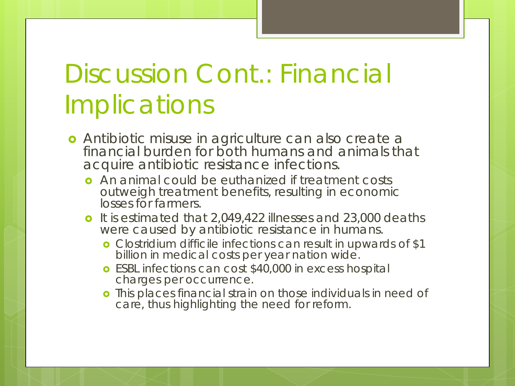## Discussion Cont.: Financial **Implications**

- Antibiotic misuse in agriculture can also create a financial burden for both humans and animals that acquire antibiotic resistance infections.
	- **o** An animal could be euthanized if treatment costs outweigh treatment benefits, resulting in economic losses for farmers.
	- **o** It is estimated that 2,049,422 illnesses and 23,000 deaths were caused by antibiotic resistance in humans.
		- *Clostridium difficile* infections can result in upwards of \$1 billion in medical costs per year nation wide.
		- **o** ESBL infections can cost \$40,000 in excess hospital charges per occurrence.
		- o This places financial strain on those individuals in need of care, thus highlighting the need for reform.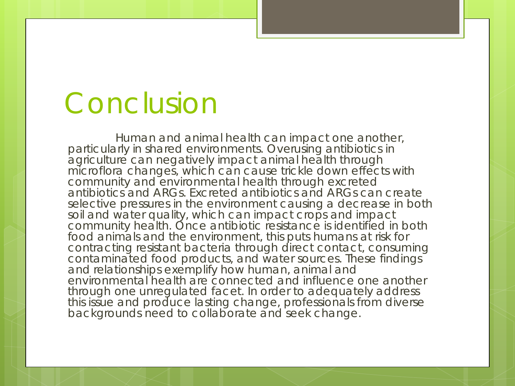## Conclusion

Human and animal health can impact one another, particularly in shared environments. Overusing antibiotics in agriculture can negatively impact animal health through microflora changes, which can cause trickle down effects with community and environmental health through excreted antibiotics and ARGs. Excreted antibiotics and ARGs can create selective pressures in the environment causing a decrease in both soil and water quality, which can impact crops and impact community health. Once antibiotic resistance is identified in both food animals and the environment, this puts humans at risk for contracting resistant bacteria through direct contact, consuming contaminated food products, and water sources. These findings and relationships exemplify how human, animal and environmental health are connected and influence one another through one unregulated facet. In order to adequately address this issue and produce lasting change, professionals from diverse backgrounds need to collaborate and seek change.